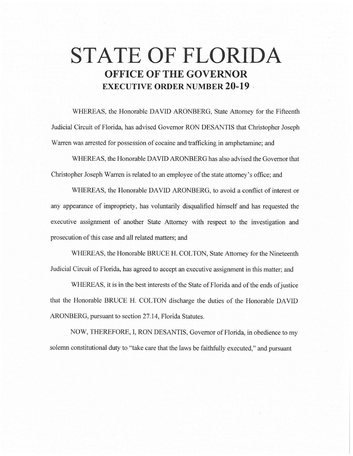# **STATE OF FLORIDA OFFICE OF THE GOVERNOR EXECUTIVE ORDER NUMBER 20-19**

WHEREAS, the Honorable DAVID ARONBERG, State Attorney for the Fifteenth Judicial Circuit of Florida, has advised Governor RON DESANTIS that Christopher Joseph Warren was arrested for possession of cocaine and trafficking in amphetamine; and

WHEREAS, the Honorable DAVID ARONBERG has also advised the Governor that Christopher Joseph Warren is related to an employee of the state attorney's office; and

WHEREAS, the Honorable DAVID ARONBERG, to avoid a conflict of interest or any appearance of impropriety, has voluntarily disqualified himself and has requested the executive assignment of another State Attorney with respect to the investigation and prosecution of this case and all related matters; and

WHEREAS, the Honorable BRUCE H. COLTON, State Attorney for the Nineteenth Judicial Circuit of Florida, has agreed to accept an executive assignment in this matter; and

WHEREAS, it is in the best interests of the State of Florida and of the ends of justice that the Honorable BRUCE H. COL TON discharge the duties of the Honorable DAVID ARONBERG, pursuant to section 27.14, Florida Statutes.

NOW, THEREFORE, I, RON DESANTIS, Governor of Florida, in obedience to my solemn constitutional duty to "take care that the laws be faithfully executed," and pursuant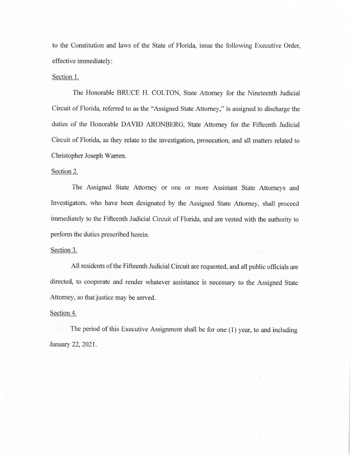to the Constitution and laws of the State of Florida, issue the following Executive Order, effective immediately:

## Section 1.

The Honorable BRUCE H. COLTON, State Attorney for the Nineteenth Judicial Circuit of Florida, referred to as the "Assigned State Attorney," is assigned to discharge the duties of the Honorable DAVID ARONBERG, State Attorney for the Fifteenth Judicial Circuit of Florida, as they relate to the investigation, prosecution, and all matters related to Christopher Joseph Warren.

## Section 2.

The Assigned State Attorney or one or more Assistant State Attorneys and Investigators, who have been designated by the Assigned State Attorney, shall proceed immediately to the Fifteenth Judicial Circuit of Florida, and are vested with the authority to perform the duties prescribed herein.

### Section 3.

All residents of the Fifteenth Judicial Circuit are requested, and all public officials are directed, to cooperate and render whatever assistance is necessary to the Assigned State Attorney, so that justice may be served.

### Section 4.

The period of this Executive Assignment shall be for one (I) year, to and including January 22, 2021.